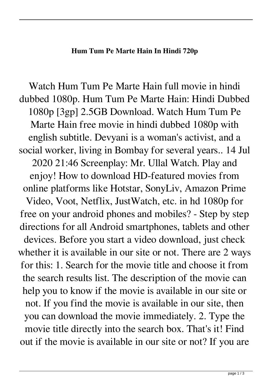## **Hum Tum Pe Marte Hain In Hindi 720p**

Watch Hum Tum Pe Marte Hain full movie in hindi dubbed 1080p. Hum Tum Pe Marte Hain: Hindi Dubbed 1080p [3gp] 2.5GB Download. Watch Hum Tum Pe Marte Hain free movie in hindi dubbed 1080p with english subtitle. Devyani is a woman's activist, and a social worker, living in Bombay for several years.. 14 Jul 2020 21:46 Screenplay: Mr. Ullal Watch. Play and enjoy! How to download HD-featured movies from online platforms like Hotstar, SonyLiv, Amazon Prime Video, Voot, Netflix, JustWatch, etc. in hd 1080p for free on your android phones and mobiles? - Step by step directions for all Android smartphones, tablets and other devices. Before you start a video download, just check whether it is available in our site or not. There are 2 ways for this: 1. Search for the movie title and choose it from the search results list. The description of the movie can help you to know if the movie is available in our site or not. If you find the movie is available in our site, then you can download the movie immediately. 2. Type the movie title directly into the search box. That's it! Find out if the movie is available in our site or not? If you are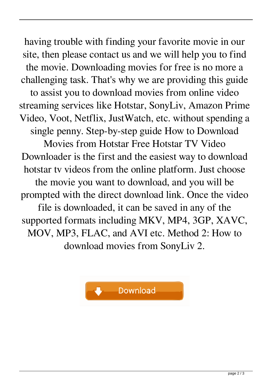having trouble with finding your favorite movie in our site, then please contact us and we will help you to find the movie. Downloading movies for free is no more a challenging task. That's why we are providing this guide to assist you to download movies from online video streaming services like Hotstar, SonyLiv, Amazon Prime Video, Voot, Netflix, JustWatch, etc. without spending a single penny. Step-by-step guide How to Download Movies from Hotstar Free Hotstar TV Video Downloader is the first and the easiest way to download hotstar tv videos from the online platform. Just choose the movie you want to download, and you will be prompted with the direct download link. Once the video file is downloaded, it can be saved in any of the supported formats including MKV, MP4, 3GP, XAVC, MOV, MP3, FLAC, and AVI etc. Method 2: How to download movies from SonyLiv 2.